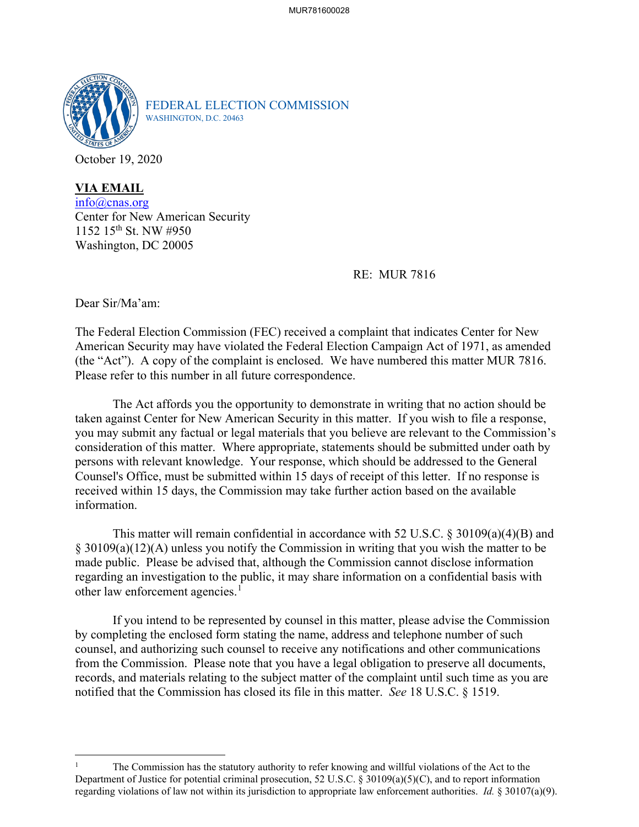

FEDERAL ELECTION COMMISSION WASHINGTON, D.C. 20463

October 19, 2020

**VIA EMAIL** [info@cnas.org](mailto:info@cnas.org) Center for New American Security 1152 15th St. NW #950 Washington, DC 20005

RE: MUR 7816

Dear Sir/Ma'am:

The Federal Election Commission (FEC) received a complaint that indicates Center for New American Security may have violated the Federal Election Campaign Act of 1971, as amended (the "Act"). A copy of the complaint is enclosed. We have numbered this matter MUR 7816. Please refer to this number in all future correspondence.

The Act affords you the opportunity to demonstrate in writing that no action should be taken against Center for New American Security in this matter. If you wish to file a response, you may submit any factual or legal materials that you believe are relevant to the Commission's consideration of this matter. Where appropriate, statements should be submitted under oath by persons with relevant knowledge. Your response, which should be addressed to the General Counsel's Office, must be submitted within 15 days of receipt of this letter. If no response is received within 15 days, the Commission may take further action based on the available information.

This matter will remain confidential in accordance with 52 U.S.C. § 30109(a)(4)(B) and § 30109(a)(12)(A) unless you notify the Commission in writing that you wish the matter to be made public. Please be advised that, although the Commission cannot disclose information regarding an investigation to the public, it may share information on a confidential basis with other law enforcement agencies.<sup>[1](#page-0-0)</sup>

If you intend to be represented by counsel in this matter, please advise the Commission by completing the enclosed form stating the name, address and telephone number of such counsel, and authorizing such counsel to receive any notifications and other communications from the Commission. Please note that you have a legal obligation to preserve all documents, records, and materials relating to the subject matter of the complaint until such time as you are notified that the Commission has closed its file in this matter. *See* 18 U.S.C. § 1519.

<span id="page-0-0"></span><sup>1</sup> The Commission has the statutory authority to refer knowing and willful violations of the Act to the Department of Justice for potential criminal prosecution, 52 U.S.C. § 30109(a)(5)(C), and to report information regarding violations of law not within its jurisdiction to appropriate law enforcement authorities. *Id.* § 30107(a)(9).